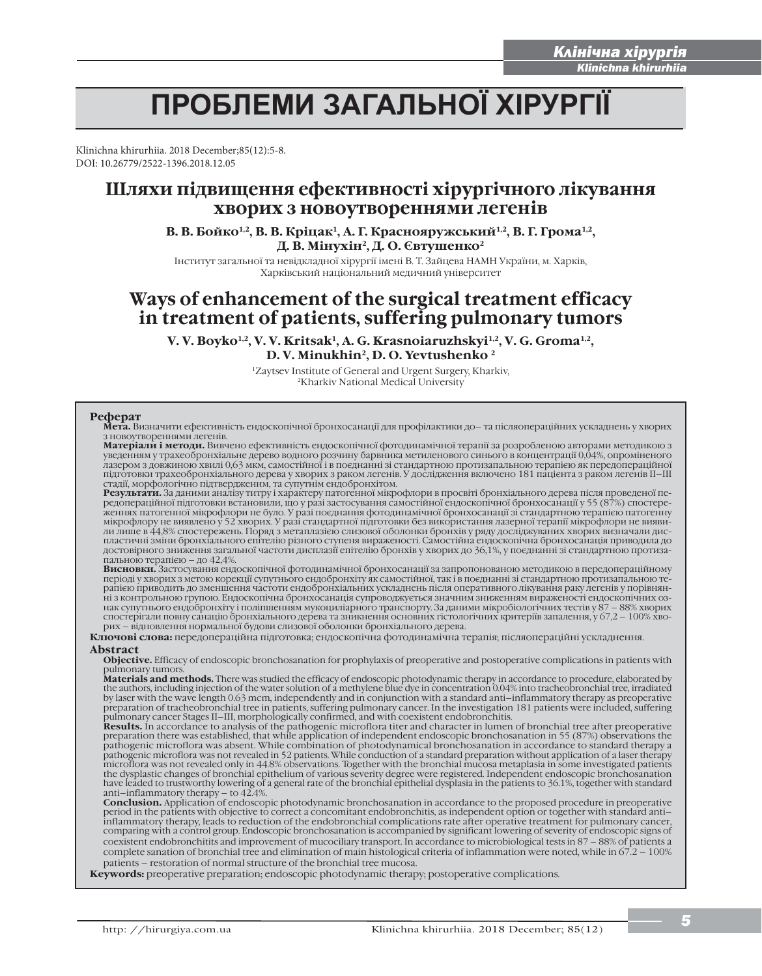i

# ПРОБЛЕМИ ЗАГАЛЬНОЇ ХІРУРГІЇ

Klinichna khirurhiia. 2018 December;85(12):5-8. DOI: 10.26779/2522-1396.2018.12.05

# **Шляхи підвищення ефективності хірургічного лікування хворих з новоутвореннями легенів**

В. В. Бойко<sup>1,2</sup>, В. В. Кріцак<sup>1</sup>, А. Г. Краснояружський<sup>1,2</sup>, В. Г. Грома<sup>1,2</sup>, **Д. В. Мінухін2, Д. О. Євтушенко2**

Інститут загальної та невідкладної хірургії імені В. Т. Зайцева НАМН України, м. Харків, Харківський національний медичний університет

# **Ways of enhancement of the surgical treatment efficacy in treatment of patients, suffering pulmonary tumors**

**V. V. Boyko1,2, V. V. Kritsak1, A. G. Krasnoiaruzhskyi1,2, V. G. Groma1,2, D. V. Minukhin2, D. O. Yevtushenko 2**

> 1Zaytsev Іnstitute of General and Urgent Surgery, Kharkiv, 2Kharkiv National Medical University

# **Реферат**

**Мета.** Визначити ефективність ендоскопічної бронхосанації для профілактики до– та післяопераційних ускладнень у хворих з новоутвореннями легенів.

**Матеріали і методи.** Вивчено ефективність ендоскопічної фотодинамічної терапії за розробленою авторами методикою з уведенням у трахеобронхіальне дерево водного розчину барвника метиленового синього в концентрації 0,04%, опроміненого<br>лазером з довжиною хвилі 0,63 мкм, самостійної і в поєднанні зі стандартною протизапальною терапією як підготовки трахеобронхіального дерева у хворих з раком легенів. У дослідження включено 181 пацієнта з раком легенів II–III стадії, морфологічно підтвердженим, та супутнім ендобронхітом.

**Результати.** За даними аналізу титру і характеру патогенної мікрофлори в просвіті бронхіального дерева після проведеної передопераційної підготовки встановили, що у разі застосування самостійної ендоскопічної бронхосанації у 55 (87%) спостереженнях патогенної мікрофлори не було. У разі поєднання фотодинамічної бронхосанації зі стандартною терапією патогенну<br>мікрофлору не виявлено у 52 хворих. У разі стандартної підготовки без використання лазерної терапії мік пластичні зміни бронхіального епітелію різного ступеня вираженості. Самостійна ендоскопічна бронхосанація приводила до<br>достовірного зниження загальної частоти дисплазії епітелію бронхів у хворих до 36,1%, у поєднанні зі с пальною терапією – до 42,4%.

**Висновки.** Застосування ендоскопічної фотодинамічної бронхосанації за запропонованою методикою в передопераційному<br>періоді у хворих з метою корекції супутнього ендобронхіту як самостійної, так і в поєднанні зі стандартно рапією приводить до зменшення частоти ендобронхіальних ускладнень після оперативного лікування раку легенів у порівнянні з контрольною групою. Ендоскопічна бронхосанація супроводжується значним зниженням вираженості ендоскопічних ознак супутнього ендобронхіту і поліпшенням мукоциліарного транспорту. За даними мікробіологічних тестів у 87 – 88% хворих спостерігали повну санацію бронхіального дерева та зникнення основних гістологічних критеріїв запалення, у 67,2 – 100% хворих – відновлення нормальної будови слизової оболонки бронхіального дерева.

**Ключові слова:** передопераційна підготовка; ендоскопічна фотодинамічна терапія; післяопераційні ускладнення. **Abstract**

**Objective.** Efficacy of endoscopic bronchosanation for prophylaxis of preoperative and postoperative complications in patients with pulmonary tumors.

**Маterials and methods.** There was studied the efficacy of endoscopic photodynamic therapy in accordance to procedure, elaborated by the authors, including injection of the water solution of a methylene blue dye in concentration 0.04% into tracheobronchial tree, irradiated by laser with the wave length 0.63 mcm, independently and in conjunction with a standard anti–inflammatory therapy as preoperative preparation of tracheobronchial tree in patients, suffering pulmonary cancer. In the investigation 181 patients were included, suffering

pulmonary cancer Stages II–III, morphologically confirmed, and with coexistent endobronchitis.<br>**Results.** In accordance to analysis of the pathogenic microflora titer and character in lumen of bronchial tree after preopera preparation there was established, that while application of independent endoscopic bronchosanation in 55 (87%) observations the<br>pathogenic microflora was absent. While combination of photodynamical bronchosanation in acco microflora was not revealed only in 44.8% observations. Together with the bronchial mucosa metaplasia in some investigated patients<br>the dysplastic changes of bronchial epithelium of various severity degree were registered. anti–inflammatory therapy – tо 42.4%.

**Conclusion.** Application of endoscopic photodynamic bronchosanation in accordance to the proposed procedure in preoperative period in the patients with objective to correct a concomitant endobronchitis, as independent option or together with standard anti– inflammatory therapy, leads to reduction of the endobronchial complications rate after operative treatment for pulmonary cancer, comparing with a control group. Еndoscopic bronchosanation is accompanied by significant lowering of severity of endoscopic signs of coexistent endobronchitits and improvement of mucociliary transport. In accordance to microbiological tests in 87 – 88% of patients a complete sanation of bronchial tree and elimination of main histological criteria of inflammation were noted, while in 67.2 – 100% patients – restoration of normal structure of the bronchial tree mucosa.

**Keywords:** preoperative preparation; endoscopic photodynamic therapy; postoperative complications.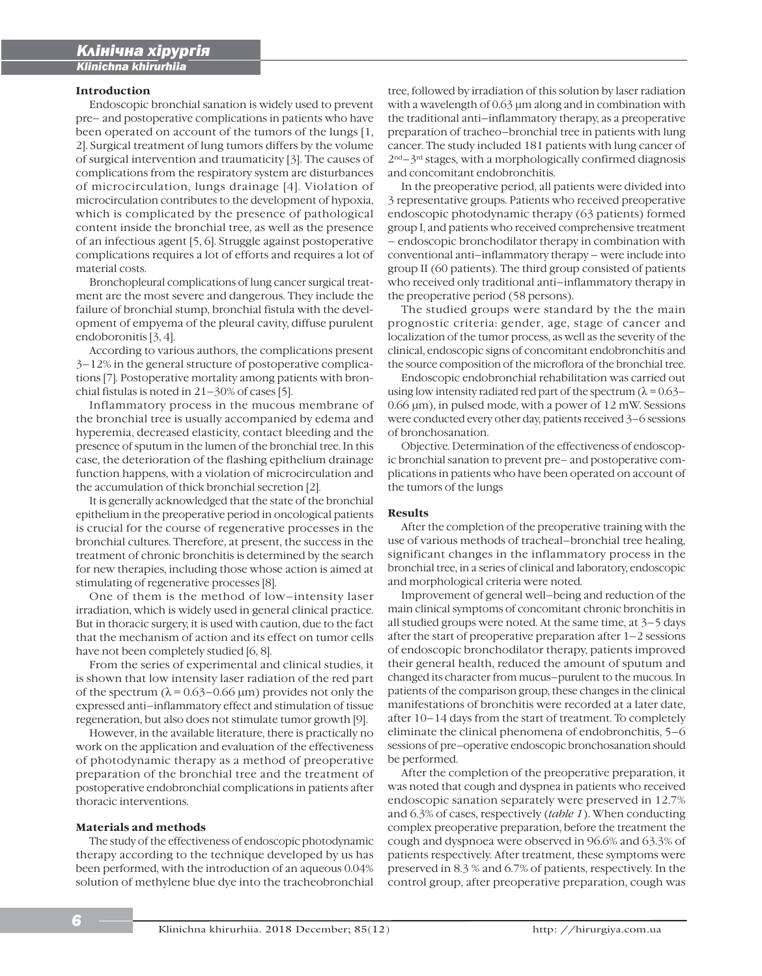# **Introduction**

í

Endoscopic bronchial sanation is widely used to prevent pre– and postoperative complications in patients who have been operated on account of the tumors of the lungs [1, 2]. Surgical treatment of lung tumors differs by the volume of surgical intervention and traumaticity [3]. The causes of complications from the respiratory system are disturbances of microcirculation, lungs drainage [4]. Violation of microcirculation contributes to the development of hypoxia, which is complicated by the presence of pathological content inside the bronchial tree, as well as the presence of an infectious agent [5, 6]. Struggle against postoperative complications requires a lot of efforts and requires a lot of material costs.

Bronchopleural complications of lung cancer surgical treatment are the most severe and dangerous. They include the failure of bronchial stump, bronchial fistula with the development of empyema of the pleural cavity, diffuse purulent endoboronitis [3, 4].

According to various authors, the complications present 3–12% in the general structure of postoperative complications [7]. Postoperative mortality among patients with bronchial fistulas is noted in  $21-30\%$  of cases [5].

Inflammatory process in the mucous membrane of the bronchial tree is usually accompanied by edema and hyperemia, decreased elasticity, contact bleeding and the presence of sputum in the lumen of the bronchial tree. In this case, the deterioration of the flashing epithelium drainage function happens, with a violation of microcirculation and the accumulation of thick bronchial secretion [2].

It is generally acknowledged that the state of the bronchial epithelium in the preoperative period in oncological patients is crucial for the course of regenerative processes in the bronchial cultures. Therefore, at present, the success in the treatment of chronic bronchitis is determined by the search for new therapies, including those whose action is aimed at stimulating of regenerative processes [8].

One of them is the method of low–intensity laser irradiation, which is widely used in general clinical practice. But in thoracic surgery, it is used with caution, due to the fact that the mechanism of action and its effect on tumor cells have not been completely studied [6, 8].

From the series of experimental and clinical studies, it is shown that low intensity laser radiation of the red part of the spectrum  $(\lambda = 0.63 - 0.66 \,\mu\text{m})$  provides not only the expressed anti–inflammatory effect and stimulation of tissue regeneration, but also does not stimulate tumor growth [9].

However, in the available literature, there is practically no work on the application and evaluation of the effectiveness of photodynamic therapy as a method of preoperative preparation of the bronchial tree and the treatment of postoperative endobronchial complications in patients after thoracic interventions.

# **Materials and methods**

The study of the effectiveness of endoscopic photodynamic therapy according to the technique developed by us has been performed, with the introduction of an aqueous 0.04% solution of methylene blue dye into the tracheobronchial

tree, followed by irradiation of this solution by laser radiation with a wavelength of 0.63 μm along and in combination with the traditional anti–inflammatory therapy, as a preoperative preparation of tracheo–bronchial tree in patients with lung cancer. The study included 181 patients with lung cancer of  $2<sup>nd</sup> - 3<sup>rd</sup>$  stages, with a morphologically confirmed diagnosis and concomitant endobronchitis.

In the preoperative period, all patients were divided into 3 representative groups. Patients who received preoperative endoscopic photodynamic therapy (63 patients) formed group I, and patients who received comprehensive treatment – endoscopic bronchodilator therapy in combination with conventional anti–inflammatory therapy – were include into group II (60 patients). The third group consisted of patients who received only traditional anti–inflammatory therapy in the preoperative period (58 persons).

The studied groups were standard by the the main prognostic criteria: gender, age, stage of cancer and localization of the tumor process, as well as the severity of the clinical, endoscopic signs of concomitant endobronchitis and the source composition of the microflora of the bronchial tree.

Endoscopic endobronchial rehabilitation was carried out using low intensity radiated red part of the spectrum  $(\lambda = 0.63 -$ 0.66 μm), in pulsed mode, with a power of 12 mW. Sessions were conducted every other day, patients received 3–6 sessions of bronchosanation.

Objective. Determination of the effectiveness of endoscopic bronchial sanation to prevent pre– and postoperative complications in patients who have been operated on account of the tumors of the lungs

#### **Results**

After the completion of the preoperative training with the use of various methods of tracheal–bronchial tree healing, significant changes in the inflammatory process in the bronchial tree, in a series of clinical and laboratory, endoscopic and morphological criteria were noted.

Improvement of general well–being and reduction of the main clinical symptoms of concomitant chronic bronchitis in all studied groups were noted. At the same time, at 3–5 days after the start of preoperative preparation after 1–2 sessions of endoscopic bronchodilator therapy, patients improved their general health, reduced the amount of sputum and changed its character from mucus–purulent to the mucous. In patients of the comparison group, these changes in the clinical manifestations of bronchitis were recorded at a later date, after 10–14 days from the start of treatment. To completely eliminate the clinical phenomena of endobronchitis, 5–6 sessions of pre–operative endoscopic bronchosanation should be performed.

After the completion of the preoperative preparation, it was noted that cough and dyspnea in patients who received endoscopic sanation separately were preserved in 12.7% and 6.3% of cases, respectively (*table 1*). When conducting complex preoperative preparation, before the treatment the cough and dyspnoea were observed in 96.6% and 63.3% of patients respectively. After treatment, these symptoms were preserved in 8.3 % and 6.7% of patients, respectively. In the control group, after preoperative preparation, cough was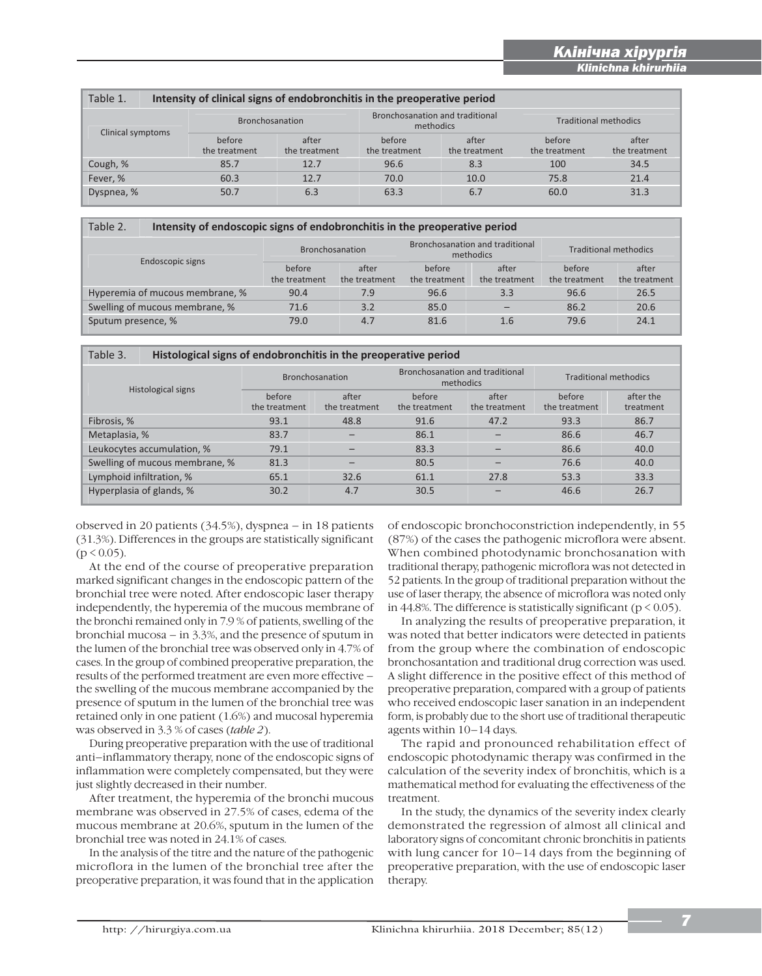i

| Table 1.<br>Intensity of clinical signs of endobronchitis in the preoperative period |                         |                        |                         |                                 |                              |                        |  |
|--------------------------------------------------------------------------------------|-------------------------|------------------------|-------------------------|---------------------------------|------------------------------|------------------------|--|
| Clinical symptoms                                                                    | <b>Bronchosanation</b>  |                        | methodics               | Bronchosanation and traditional | <b>Traditional methodics</b> |                        |  |
|                                                                                      | before<br>the treatment | after<br>the treatment | before<br>the treatment | after<br>the treatment          | before<br>the treatment      | after<br>the treatment |  |
| Cough, %                                                                             | 85.7                    | 12.7                   | 96.6                    | 8.3                             | 100                          | 34.5                   |  |
| Fever, %                                                                             | 60.3                    | 12.7                   | 70.0                    | 10.0                            | 75.8                         | 21.4                   |  |
| Dyspnea, %                                                                           | 50.7                    | 6.3                    | 63.3                    | 6.7                             | 60.0                         | 31.3                   |  |

# Table 2. **Intensity of endoscopic signs of endobronchitis in the preoperative period**

| Endoscopic signs                | <b>Bronchosanation</b>  |                        | Bronchosanation and traditional<br>methodics |                        | <b>Traditional methodics</b> |                        |
|---------------------------------|-------------------------|------------------------|----------------------------------------------|------------------------|------------------------------|------------------------|
|                                 | before<br>the treatment | after<br>the treatment | before<br>the treatment                      | after<br>the treatment | before<br>the treatment      | after<br>the treatment |
| Hyperemia of mucous membrane, % | 90.4                    | 7.9                    | 96.6                                         | 3.3                    | 96.6                         | 26.5                   |
| Swelling of mucous membrane, %  | 71.6                    | 3.2                    | 85.0                                         |                        | 86.2                         | 20.6                   |
| Sputum presence, %              | 79.0                    | 4.7                    | 81.6                                         | 1.6                    | 79.6                         | 24.1                   |

| Table 3.<br>Histological signs of endobronchitis in the preoperative period |                         |                        |                         |                                              |                         |                              |  |
|-----------------------------------------------------------------------------|-------------------------|------------------------|-------------------------|----------------------------------------------|-------------------------|------------------------------|--|
| Histological signs                                                          |                         | Bronchosanation        |                         | Bronchosanation and traditional<br>methodics |                         | <b>Traditional methodics</b> |  |
|                                                                             | before<br>the treatment | after<br>the treatment | before<br>the treatment | after<br>the treatment                       | before<br>the treatment | after the<br>treatment       |  |
| Fibrosis, %                                                                 | 93.1                    | 48.8                   | 91.6                    | 47.2                                         | 93.3                    | 86.7                         |  |
| Metaplasia, %                                                               | 83.7                    |                        | 86.1                    |                                              | 86.6                    | 46.7                         |  |
| Leukocytes accumulation, %                                                  | 79.1                    |                        | 83.3                    |                                              | 86.6                    | 40.0                         |  |
| Swelling of mucous membrane, %                                              | 81.3                    |                        | 80.5                    |                                              | 76.6                    | 40.0                         |  |
| Lymphoid infiltration, %                                                    | 65.1                    | 32.6                   | 61.1                    | 27.8                                         | 53.3                    | 33.3                         |  |
| Hyperplasia of glands, %                                                    | 30.2                    | 4.7                    | 30.5                    |                                              | 46.6                    | 26.7                         |  |

observed in 20 patients (34.5%), dyspnea – in 18 patients (31.3%). Differences in the groups are statistically significant  $(p < 0.05)$ .

At the end of the course of preoperative preparation marked significant changes in the endoscopic pattern of the bronchial tree were noted. After endoscopic laser therapy independently, the hyperemia of the mucous membrane of the bronchi remained only in 7.9 % of patients, swelling of the bronchial mucosa – in 3.3%, and the presence of sputum in the lumen of the bronchial tree was observed only in 4.7% of cases. In the group of combined preoperative preparation, the results of the performed treatment are even more effective – the swelling of the mucous membrane accompanied by the presence of sputum in the lumen of the bronchial tree was retained only in one patient (1.6%) and mucosal hyperemia was observed in 3.3 % of cases (*table 2*).

During preoperative preparation with the use of traditional anti–inflammatory therapy, none of the endoscopic signs of inflammation were completely compensated, but they were just slightly decreased in their number.

After treatment, the hyperemia of the bronchi mucous membrane was observed in 27.5% of cases, edema of the mucous membrane at 20.6%, sputum in the lumen of the bronchial tree was noted in 24.1% of cases.

In the analysis of the titre and the nature of the pathogenic microflora in the lumen of the bronchial tree after the preoperative preparation, it was found that in the application of endoscopic bronchoconstriction independently, in 55 (87%) of the cases the pathogenic microflora were absent. When combined photodynamic bronchosanation with traditional therapy, pathogenic microflora was not detected in 52 patients. In the group of traditional preparation without the use of laser therapy, the absence of microflora was noted only in 44.8%. The difference is statistically significant ( $p < 0.05$ ).

In analyzing the results of preoperative preparation, it was noted that better indicators were detected in patients from the group where the combination of endoscopic bronchosantation and traditional drug correction was used. A slight difference in the positive effect of this method of preoperative preparation, compared with a group of patients who received endoscopic laser sanation in an independent form, is probably due to the short use of traditional therapeutic agents within 10–14 days.

The rapid and pronounced rehabilitation effect of endoscopic photodynamic therapy was confirmed in the calculation of the severity index of bronchitis, which is a mathematical method for evaluating the effectiveness of the treatment.

In the study, the dynamics of the severity index clearly demonstrated the regression of almost all clinical and laboratory signs of concomitant chronic bronchitis in patients with lung cancer for 10–14 days from the beginning of preoperative preparation, with the use of endoscopic laser therapy.